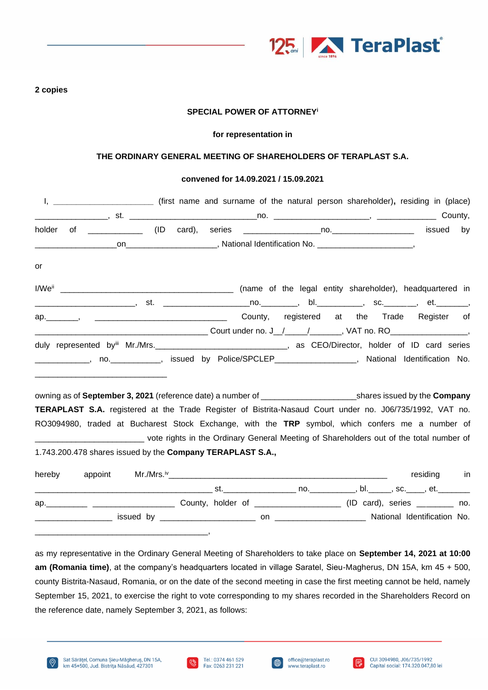

#### **2 copies**

## **SPECIAL POWER OF ATTORNEY<sup>i</sup>**

#### **for representation in**

#### **THE ORDINARY GENERAL MEETING OF SHAREHOLDERS OF TERAPLAST S.A.**

#### **convened for 14.09.2021 / 15.09.2021**

| holder |                                                                                                                          |  |  |  | issued      | by |
|--------|--------------------------------------------------------------------------------------------------------------------------|--|--|--|-------------|----|
|        |                                                                                                                          |  |  |  |             |    |
| or     |                                                                                                                          |  |  |  |             |    |
|        |                                                                                                                          |  |  |  |             |    |
|        | _________________________, st.  _______________________no.___________, bl.____________, sc._________, et._________,      |  |  |  |             |    |
|        |                                                                                                                          |  |  |  |             |    |
|        |                                                                                                                          |  |  |  |             |    |
|        | duly represented byiii Mr./Mrs. _________________________________, as CEO/Director, holder of ID card series             |  |  |  |             |    |
|        | _____________, no.___________, issued by Police/SPCLEP_________________, National Identification No.                     |  |  |  |             |    |
|        |                                                                                                                          |  |  |  |             |    |
|        |                                                                                                                          |  |  |  |             |    |
|        | TERAPLAST S.A. registered at the Trade Register of Bistrita-Nasaud Court under no. J06/735/1992, VAT no.                 |  |  |  |             |    |
|        | RO3094980, traded at Bucharest Stock Exchange, with the TRP symbol, which confers me a number of                         |  |  |  |             |    |
|        | _________________________________ vote rights in the Ordinary General Meeting of Shareholders out of the total number of |  |  |  |             |    |
|        | 1.743.200.478 shares issued by the Company TERAPLAST S.A.,                                                               |  |  |  |             |    |
|        |                                                                                                                          |  |  |  |             |    |
| hereby |                                                                                                                          |  |  |  | residing in |    |
|        |                                                                                                                          |  |  |  |             |    |
|        | ap. 10. All County, holder of 2000 2000 (ID card), series 2010.                                                          |  |  |  |             |    |
|        |                                                                                                                          |  |  |  |             |    |
|        |                                                                                                                          |  |  |  |             |    |

as my representative in the Ordinary General Meeting of Shareholders to take place on **September 14, 2021 at 10:00 am (Romania time)**, at the company's headquarters located in village Saratel, Sieu-Magherus, DN 15A, km 45 + 500, county Bistrita-Nasaud, Romania, or on the date of the second meeting in case the first meeting cannot be held, namely September 15, 2021, to exercise the right to vote corresponding to my shares recorded in the Shareholders Record on the reference date, namely September 3, 2021, as follows:







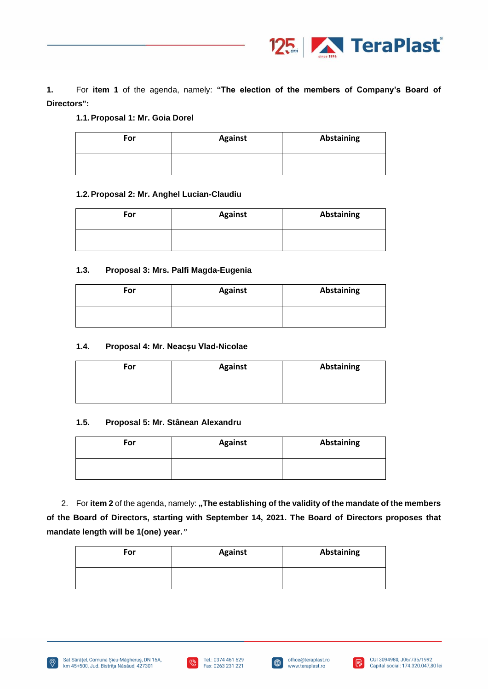

**1.** For **item 1** of the agenda, namely: **"The election of the members of Company's Board of Directors":**

## **1.1.Proposal 1: Mr. Goia Dorel**

| For | <b>Against</b> | <b>Abstaining</b> |
|-----|----------------|-------------------|
|     |                |                   |

### **1.2.Proposal 2: Mr. Anghel Lucian-Claudiu**

| For | <b>Against</b> | Abstaining |
|-----|----------------|------------|
|     |                |            |

# **1.3. Proposal 3: Mrs. Palfi Magda-Eugenia**

| For | <b>Against</b> | Abstaining |
|-----|----------------|------------|
|     |                |            |

### **1.4. Proposal 4: Mr. Neacșu Vlad-Nicolae**

| For | <b>Against</b> | Abstaining |
|-----|----------------|------------|
|     |                |            |

#### **1.5. Proposal 5: Mr. Stânean Alexandru**

| For | <b>Against</b> | Abstaining |
|-----|----------------|------------|
|     |                |            |

2. For item 2 of the agenda, namely: "The establishing of the validity of the mandate of the members **of the Board of Directors, starting with September 14, 2021. The Board of Directors proposes that mandate length will be 1(one) year.***"*

| For | <b>Against</b> | Abstaining |
|-----|----------------|------------|
|     |                |            |







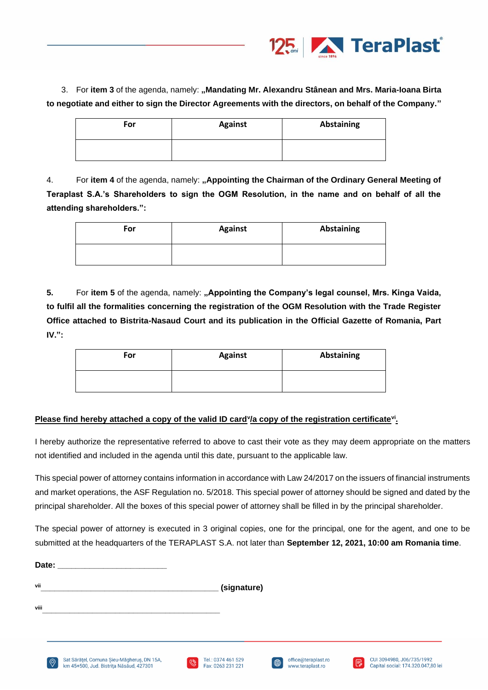

3. For item 3 of the agenda, namely: "Mandating Mr. Alexandru Stânean and Mrs. Maria-Ioana Birta **to negotiate and either to sign the Director Agreements with the directors, on behalf of the Company."**

| For | <b>Against</b> | Abstaining |
|-----|----------------|------------|
|     |                |            |

4. For **item 4** of the agenda, namely: **"Appointing the Chairman of the Ordinary General Meeting of Teraplast S.A.'s Shareholders to sign the OGM Resolution, in the name and on behalf of all the attending shareholders.":**

| For | <b>Against</b> | <b>Abstaining</b> |
|-----|----------------|-------------------|
|     |                |                   |

5. For item 5 of the agenda, namely: "Appointing the Company's legal counsel, Mrs. Kinga Vaida, **to fulfil all the formalities concerning the registration of the OGM Resolution with the Trade Register Office attached to Bistrita-Nasaud Court and its publication in the Official Gazette of Romania, Part IV.":**

| For | <b>Against</b> | <b>Abstaining</b> |
|-----|----------------|-------------------|
|     |                |                   |

# Please find hereby attached a copy of the valid ID card<sup>y</sup>/a copy of the registration certificate<sup>vi</sup>.

I hereby authorize the representative referred to above to cast their vote as they may deem appropriate on the matters not identified and included in the agenda until this date, pursuant to the applicable law.

This special power of attorney contains information in accordance with Law 24/2017 on the issuers of financial instruments and market operations, the ASF Regulation no. 5/2018. This special power of attorney should be signed and dated by the principal shareholder. All the boxes of this special power of attorney shall be filled in by the principal shareholder.

The special power of attorney is executed in 3 original copies, one for the principal, one for the agent, and one to be submitted at the headquarters of the TERAPLAST S.A. not later than **September 12, 2021, 10:00 am Romania time**.

| Date: |                |                                                                                       |               |                    |             |                     |                         |                           |
|-------|----------------|---------------------------------------------------------------------------------------|---------------|--------------------|-------------|---------------------|-------------------------|---------------------------|
| vii   |                |                                                                                       |               | (signature)        |             |                     |                         |                           |
| viii  |                |                                                                                       |               |                    |             |                     |                         |                           |
|       | $\circledcirc$ | Sat Sărățel, Comuna Șieu-Măgheruș, DN 15A,<br>km 45+500, Jud. Bistrita Năsăud, 427301 | $\mathscr{G}$ | Tel.: 0374 461 529 | $\bigoplus$ | office@teraplast.ro | $\overline{\mathbb{F}}$ | CUI 3094980, J06/735/1992 |